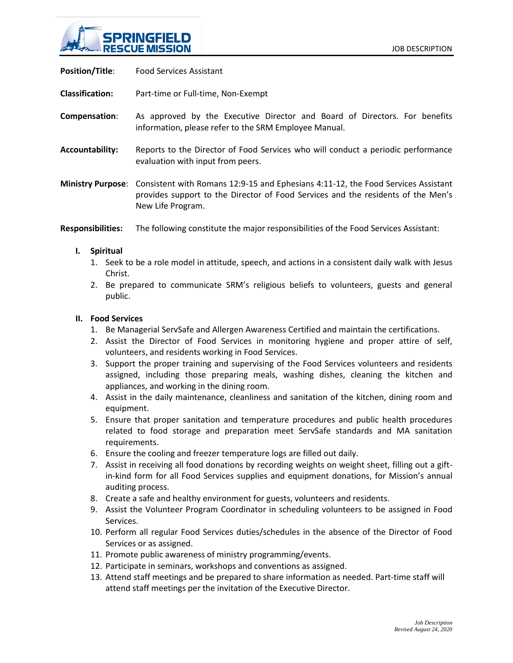

**Position/Title**: Food Services Assistant

**Classification:** Part-time or Full-time, Non-Exempt

- **Compensation**: As approved by the Executive Director and Board of Directors. For benefits information, please refer to the SRM Employee Manual.
- **Accountability:** Reports to the Director of Food Services who will conduct a periodic performance evaluation with input from peers.
- **Ministry Purpose**: Consistent with Romans 12:9-15 and Ephesians 4:11-12, the Food Services Assistant provides support to the Director of Food Services and the residents of the Men's New Life Program.
- **Responsibilities:** The following constitute the major responsibilities of the Food Services Assistant:

## **I. Spiritual**

- 1. Seek to be a role model in attitude, speech, and actions in a consistent daily walk with Jesus Christ.
- 2. Be prepared to communicate SRM's religious beliefs to volunteers, guests and general public.

## **II. Food Services**

- 1. Be Managerial ServSafe and Allergen Awareness Certified and maintain the certifications.
- 2. Assist the Director of Food Services in monitoring hygiene and proper attire of self, volunteers, and residents working in Food Services.
- 3. Support the proper training and supervising of the Food Services volunteers and residents assigned, including those preparing meals, washing dishes, cleaning the kitchen and appliances, and working in the dining room.
- 4. Assist in the daily maintenance, cleanliness and sanitation of the kitchen, dining room and equipment.
- 5. Ensure that proper sanitation and temperature procedures and public health procedures related to food storage and preparation meet ServSafe standards and MA sanitation requirements.
- 6. Ensure the cooling and freezer temperature logs are filled out daily.
- 7. Assist in receiving all food donations by recording weights on weight sheet, filling out a giftin-kind form for all Food Services supplies and equipment donations, for Mission's annual auditing process.
- 8. Create a safe and healthy environment for guests, volunteers and residents.
- 9. Assist the Volunteer Program Coordinator in scheduling volunteers to be assigned in Food Services.
- 10. Perform all regular Food Services duties/schedules in the absence of the Director of Food Services or as assigned.
- 11. Promote public awareness of ministry programming/events.
- 12. Participate in seminars, workshops and conventions as assigned.
- 13. Attend staff meetings and be prepared to share information as needed. Part-time staff will attend staff meetings per the invitation of the Executive Director.